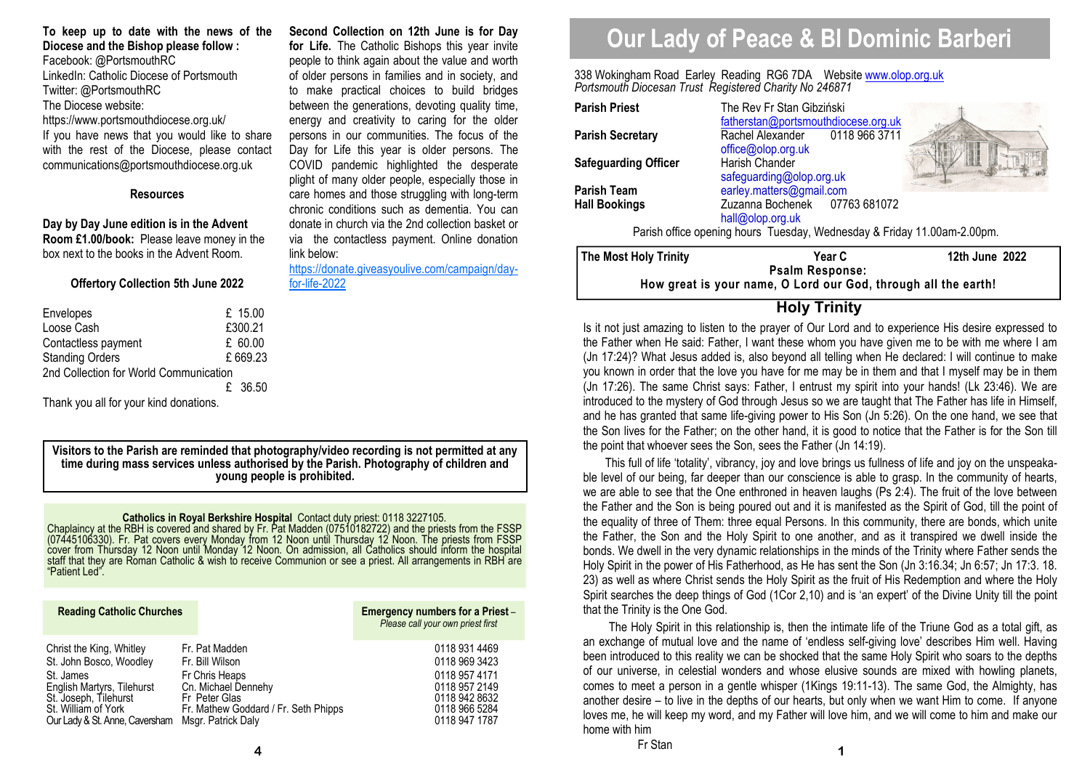**To keep up to date with the news of the Diocese and the Bishop please follow :** Facebook: @PortsmouthRC LinkedIn: Catholic Diocese of Portsmouth Twitter: @PortsmouthRC The Diocese website: https://www.portsmouthdiocese.org.uk/ If you have news that you would like to share with the rest of the Diocese, please contact communications@portsmouthdiocese.org.uk

#### **Resources**

**Day by Day June edition is in the Advent Room £1.00/book:** Please leave money in the box next to the books in the Advent Room.

#### **Offertory Collection 5th June 2022**

| Envelopes                              |  | £ $15.00$ |  |  |
|----------------------------------------|--|-----------|--|--|
| Loose Cash                             |  | £300.21   |  |  |
| Contactless payment                    |  | £ 60.00   |  |  |
| <b>Standing Orders</b>                 |  | £669.23   |  |  |
| 2nd Collection for World Communication |  |           |  |  |
|                                        |  | £ 36.50   |  |  |

Thank you all for your kind donations.

**Visitors to the Parish are reminded that photography/video recording is not permitted at any time during mass services unless authorised by the Parish. Photography of children and young people is prohibited.** 

link below:

for-life-2022

**Second Collection on 12th June is for Day for Life.** The Catholic Bishops this year invite people to think again about the value and worth of older persons in families and in society, and to make practical choices to build bridges between the generations, devoting quality time, energy and creativity to caring for the older persons in our communities. The focus of the Day for Life this year is older persons. The COVID pandemic highlighted the desperate plight of many older people, especially those in care homes and those struggling with long-term chronic conditions such as dementia. You can donate in church via the 2nd collection basket or via the contactless payment. Online donation

https://donate.giveasyoulive.com/campaign/day-

**Catholics in Royal Berkshire Hospital** Contact duty priest: 0118 3227105.<br>Chaplaincy at the RBH is covered and shared by Fr. Pat Madden (07510182722) and the priests from the FSSP<br>(07445106330). Fr. Pat covers every Monda

| <b>Reading Catholic Churches</b> |                                      | Emergency numbers for a Priest -<br>Please call your own priest first |
|----------------------------------|--------------------------------------|-----------------------------------------------------------------------|
| Christ the King, Whitley         | Fr. Pat Madden                       | 0118 931 4469                                                         |
| St. John Bosco, Woodley          | Fr. Bill Wilson                      | 0118 969 3423                                                         |
| St. James                        | Fr Chris Heaps                       | 0118 957 4171                                                         |
| English Martyrs, Tilehurst       | Cn. Michael Dennehy                  | 0118 957 2149                                                         |
| St. Joseph, Tilehurst            | Fr Peter Glas                        | 0118 942 8632                                                         |
| St. William of York              | Fr. Mathew Goddard / Fr. Seth Phipps | 0118 966 5284                                                         |
| Our Lady & St. Anne, Caversham   | Msgr. Patrick Daly                   | 0118 947 1787                                                         |

# **Our Lady of Peace & Bl Dominic Barberi**

338 Wokingham Road Earley Reading RG6 7DA Website www.olop.org.uk*Portsmouth Diocesan Trust Registered Charity No 246871* 

| <b>Parish Priest</b>                                                    | The Rev Fr Stan Gibziński<br>fatherstan@portsmouthdiocese.org.uk |                |  |  |
|-------------------------------------------------------------------------|------------------------------------------------------------------|----------------|--|--|
| <b>Parish Secretary</b>                                                 | Rachel Alexander 0118 966 3711<br>office@olop.org.uk             |                |  |  |
| <b>Safeguarding Officer</b>                                             | Harish Chander<br>safeguarding@olop.org.uk                       |                |  |  |
| <b>Parish Team</b>                                                      | earley.matters@gmail.com                                         |                |  |  |
| <b>Hall Bookings</b>                                                    | Zuzanna Bochenek 07763 681072<br>hall@olop.org.uk                |                |  |  |
| Parish office opening hours Tuesday, Wednesday & Friday 11.00am-2.00pm. |                                                                  |                |  |  |
| The Most Holy Trinity                                                   | Year C<br><b>B</b> I <b>B</b>                                    | 12th June 2022 |  |  |

**Psalm Response: How great is your name, O Lord our God, through all the earth!** 

# **Holy Trinity**

Is it not just amazing to listen to the prayer of Our Lord and to experience His desire expressed to the Father when He said: Father, I want these whom you have given me to be with me where I am (Jn 17:24)? What Jesus added is, also beyond all telling when He declared: I will continue to make you known in order that the love you have for me may be in them and that I myself may be in them (Jn 17:26). The same Christ says: Father, I entrust my spirit into your hands! (Lk 23:46). We are introduced to the mystery of God through Jesus so we are taught that The Father has life in Himself, and he has granted that same life-giving power to His Son (Jn 5:26). On the one hand, we see that the Son lives for the Father; on the other hand, it is good to notice that the Father is for the Son till the point that whoever sees the Son, sees the Father (Jn 14:19).

 This full of life 'totality', vibrancy, joy and love brings us fullness of life and joy on the unspeakable level of our being, far deeper than our conscience is able to grasp. In the community of hearts, we are able to see that the One enthroned in heaven laughs (Ps 2:4). The fruit of the love between the Father and the Son is being poured out and it is manifested as the Spirit of God, till the point of the equality of three of Them: three equal Persons. In this community, there are bonds, which unite the Father, the Son and the Holy Spirit to one another, and as it transpired we dwell inside the bonds. We dwell in the very dynamic relationships in the minds of the Trinity where Father sends the Holy Spirit in the power of His Fatherhood, as He has sent the Son (Jn 3:16.34; Jn 6:57; Jn 17:3. 18. 23) as well as where Christ sends the Holy Spirit as the fruit of His Redemption and where the Holy Spirit searches the deep things of God (1Cor 2,10) and is 'an expert' of the Divine Unity till the point that the Trinity is the One God.

 The Holy Spirit in this relationship is, then the intimate life of the Triune God as a total gift, as an exchange of mutual love and the name of 'endless self-giving love' describes Him well. Having been introduced to this reality we can be shocked that the same Holy Spirit who soars to the depths of our universe, in celestial wonders and whose elusive sounds are mixed with howling planets, comes to meet a person in a gentle whisper (1Kings 19:11-13). The same God, the Almighty, has another desire – to live in the depths of our hearts, but only when we want Him to come. If anyone loves me, he will keep my word, and my Father will love him, and we will come to him and make our home with him

**4** 1 **1 Fr** Stan